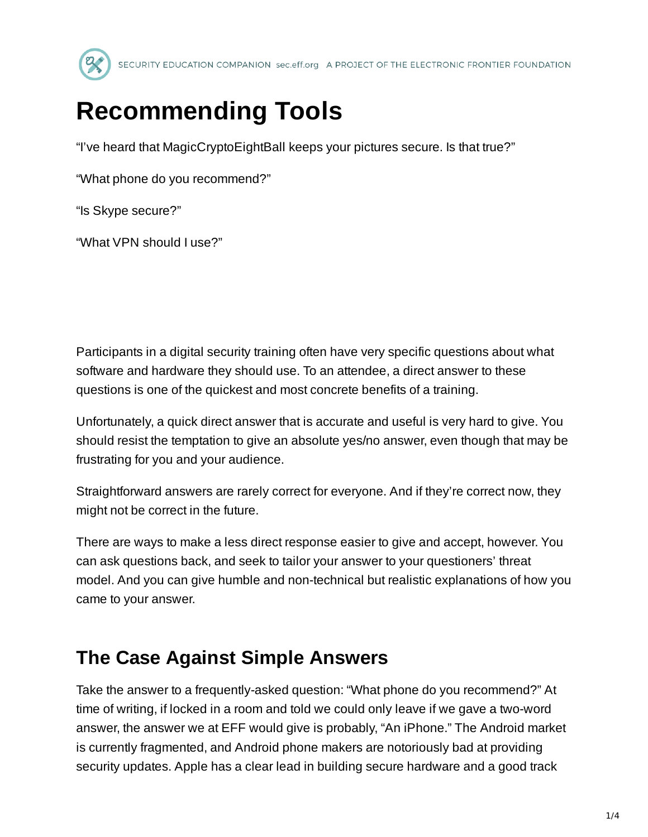

# **Recommending Tools**

"I've heard that MagicCryptoEightBall keeps your pictures secure. Is that true?"

"What phone do you recommend?"

"Is Skype secure?"

"What VPN should I use?"

Participants in a digital security training often have very specific questions about what software and hardware they should use. To an attendee, a direct answer to these questions is one of the quickest and most concrete benefits of a training.

Unfortunately, a quick direct answer that is accurate and useful is very hard to give. You should resist the temptation to give an absolute yes/no answer, even though that may be frustrating for you and your audience.

Straightforward answers are rarely correct for everyone. And if they're correct now, they might not be correct in the future.

There are ways to make a less direct response easier to give and accept, however. You can ask questions back, and seek to tailor your answer to your questioners' threat model. And you can give humble and non-technical but realistic explanations of how you came to your answer.

## **The Case Against Simple Answers**

Take the answer to a frequently-asked question: "What phone do you recommend?" At time of writing, if locked in a room and told we could only leave if we gave a two-word answer, the answer we at EFF would give is probably, "An iPhone." The Android market is currently fragmented, and Android phone makers are notoriously bad at providing security updates. Apple has a clear lead in building secure hardware and a good track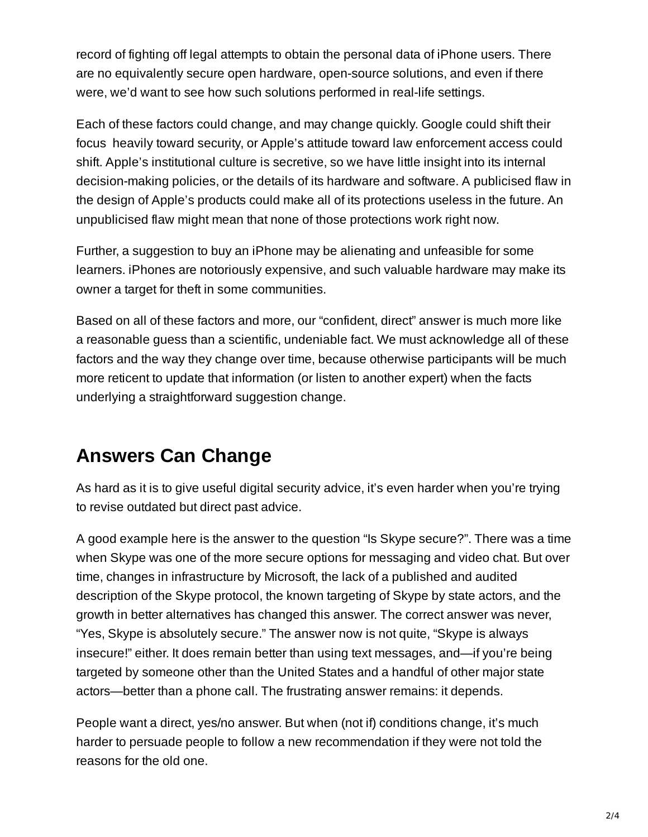record of fighting off legal attempts to obtain the personal data of iPhone users. There are no equivalently secure open hardware, open-source solutions, and even if there were, we'd want to see how such solutions performed in real-life settings.

Each of these factors could change, and may change quickly. Google could shift their focus heavily toward security, or Apple's attitude toward law enforcement access could shift. Apple's institutional culture is secretive, so we have little insight into its internal decision-making policies, or the details of its hardware and software. A publicised flaw in the design of Apple's products could make all of its protections useless in the future. An unpublicised flaw might mean that none of those protections work right now.

Further, a suggestion to buy an iPhone may be alienating and unfeasible for some learners. iPhones are notoriously expensive, and such valuable hardware may make its owner a target for theft in some communities.

Based on all of these factors and more, our "confident, direct" answer is much more like a reasonable guess than a scientific, undeniable fact. We must acknowledge all of these factors and the way they change over time, because otherwise participants will be much more reticent to update that information (or listen to another expert) when the facts underlying a straightforward suggestion change.

## **Answers Can Change**

As hard as it is to give useful digital security advice, it's even harder when you're trying to revise outdated but direct past advice.

A good example here is the answer to the question "Is Skype secure?". There was a time when Skype was one of the more secure options for messaging and video chat. But over time, changes in infrastructure by Microsoft, the lack of a published and audited description of the Skype protocol, the known targeting of Skype by state actors, and the growth in better alternatives has changed this answer. The correct answer was never, "Yes, Skype is absolutely secure." The answer now is not quite, "Skype is always insecure!" either. It does remain better than using text messages, and—if you're being targeted by someone other than the United States and a handful of other major state actors—better than a phone call. The frustrating answer remains: it depends.

People want a direct, yes/no answer. But when (not if) conditions change, it's much harder to persuade people to follow a new recommendation if they were not told the reasons for the old one.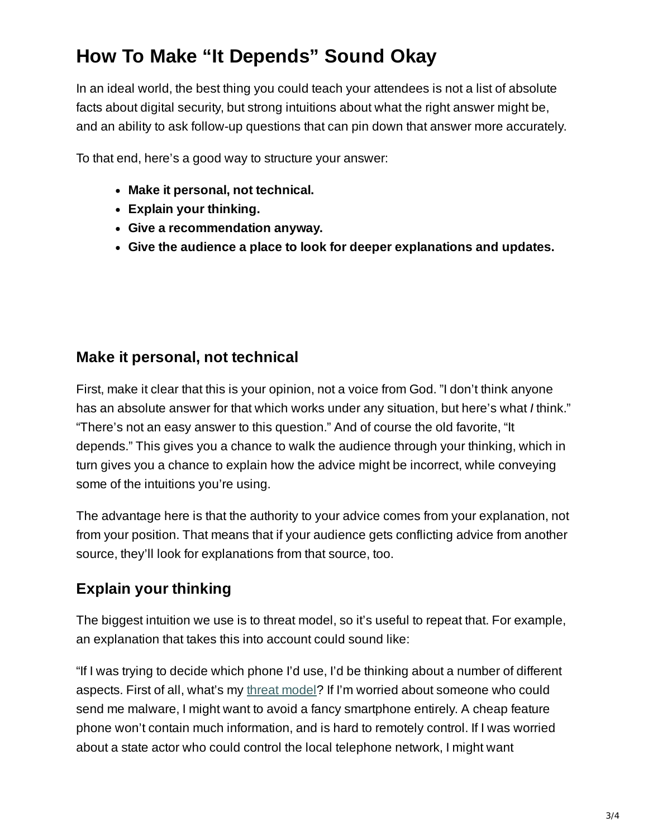# **How To Make "It Depends" Sound Okay**

In an ideal world, the best thing you could teach your attendees is not a list of absolute facts about digital security, but strong intuitions about what the right answer might be, and an ability to ask follow-up questions that can pin down that answer more accurately.

To that end, here's a good way to structure your answer:

- **Make it personal, not technical.**
- **Explain your thinking.**
- **Give a recommendation anyway.**
- **Give the audience a place to look for deeper explanations and updates.**

#### **Make it personal, not technical**

First, make it clear that this is your opinion, not a voice from God. "I don't think anyone has an absolute answer for that which works under any situation, but here's what *I* think." "There's not an easy answer to this question." And of course the old favorite, "It depends." This gives you a chance to walk the audience through your thinking, which in turn gives you a chance to explain how the advice might be incorrect, while conveying some of the intuitions you're using.

The advantage here is that the authority to your advice comes from your explanation, not from your position. That means that if your audience gets conflicting advice from another source, they'll look for explanations from that source, too.

### **Explain your thinking**

The biggest intuition we use is to threat model, so it's useful to repeat that. For example, an explanation that takes this into account could sound like:

"If I was trying to decide which phone I'd use, I'd be thinking about a number of different aspects. First of all, what's my threat [model](https://ssd.eff.org/en/module/assessing-your-risks)? If I'm worried about someone who could send me malware, I might want to avoid a fancy smartphone entirely. A cheap feature phone won't contain much information, and is hard to remotely control. If I was worried about a state actor who could control the local telephone network, I might want